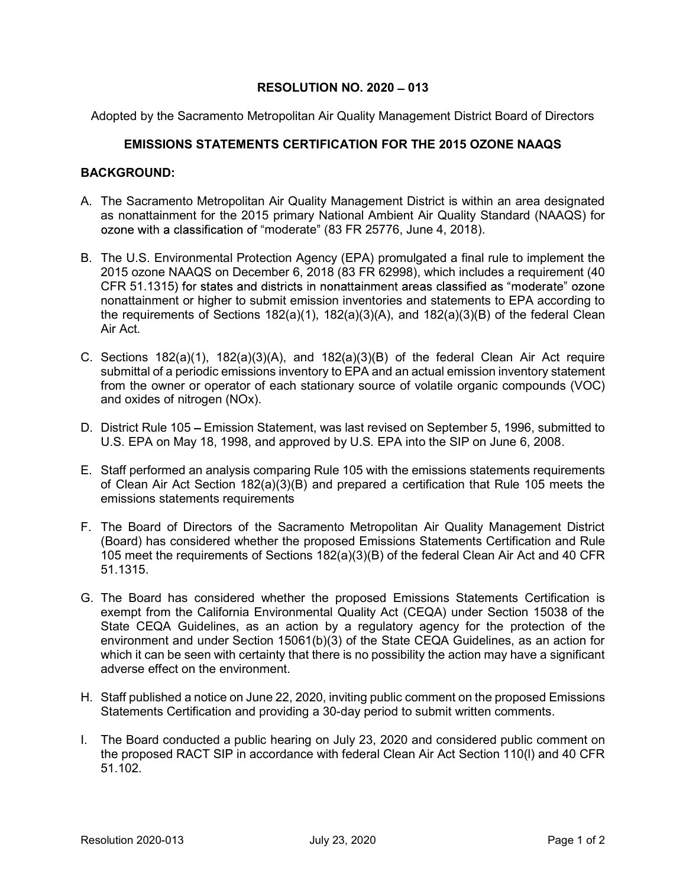## RESOLUTION NO.  $2020 - 013$

Adopted by the Sacramento Metropolitan Air Quality Management District Board of Directors

## EMISSIONS STATEMENTS CERTIFICATION FOR THE 2015 OZONE NAAQS

## BACKGROUND:

- A. The Sacramento Metropolitan Air Quality Management District is within an area designated as nonattainment for the 2015 primary National Ambient Air Quality Standard (NAAQS) for ozone with a classification of "moderate" (83 FR 25776, June 4, 2018).
- B. The U.S. Environmental Protection Agency (EPA) promulgated a final rule to implement the 2015 ozone NAAQS on December 6, 2018 (83 FR 62998), which includes a requirement (40 CFR 51.1315) for states and districts in nonattainment areas classified as "moderate" ozone nonattainment or higher to submit emission inventories and statements to EPA according to the requirements of Sections 182(a)(1), 182(a)(3)(A), and 182(a)(3)(B) of the federal Clean Air Act.
- C. Sections 182(a)(1), 182(a)(3)(A), and 182(a)(3)(B) of the federal Clean Air Act require submittal of a periodic emissions inventory to EPA and an actual emission inventory statement from the owner or operator of each stationary source of volatile organic compounds (VOC) and oxides of nitrogen (NOx).
- D. District Rule 105 Emission Statement, was last revised on September 5, 1996, submitted to U.S. EPA on May 18, 1998, and approved by U.S. EPA into the SIP on June 6, 2008.
- E. Staff performed an analysis comparing Rule 105 with the emissions statements requirements of Clean Air Act Section 182(a)(3)(B) and prepared a certification that Rule 105 meets the emissions statements requirements
- F. The Board of Directors of the Sacramento Metropolitan Air Quality Management District (Board) has considered whether the proposed Emissions Statements Certification and Rule 105 meet the requirements of Sections 182(a)(3)(B) of the federal Clean Air Act and 40 CFR 51.1315.
- G. The Board has considered whether the proposed Emissions Statements Certification is exempt from the California Environmental Quality Act (CEQA) under Section 15038 of the State CEQA Guidelines, as an action by a regulatory agency for the protection of the environment and under Section 15061(b)(3) of the State CEQA Guidelines, as an action for which it can be seen with certainty that there is no possibility the action may have a significant adverse effect on the environment.
- H. Staff published a notice on June 22, 2020, inviting public comment on the proposed Emissions Statements Certification and providing a 30-day period to submit written comments.
- I. The Board conducted a public hearing on July 23, 2020 and considered public comment on the proposed RACT SIP in accordance with federal Clean Air Act Section 110(l) and 40 CFR 51.102.